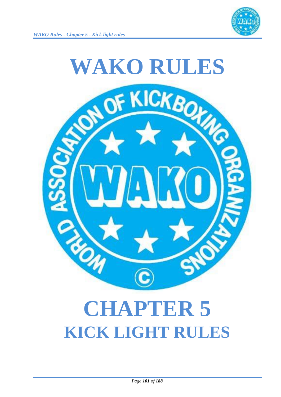



# **CHAPTER 5 KICK LIGHT RULES**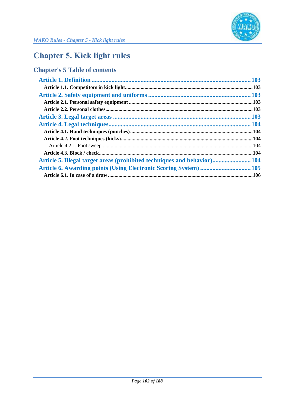

## **Chapter 5. Kick light rules**

## **Chapter's 5 Table of contents**

| Article 5. Illegal target areas (prohibited techniques and behavior) 104 |  |
|--------------------------------------------------------------------------|--|
| Article 6. Awarding points (Using Electronic Scoring System)  105        |  |
|                                                                          |  |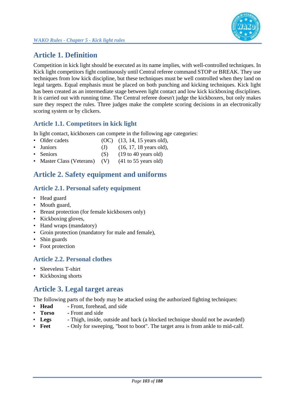

## **Article 1. Definition**

Competition in kick light should be executed as its name implies, with well-controlled techniques. In Kick light competitors fight continuously until Central referee command STOP or BREAK. They use techniques from low kick discipline, but these techniques must be well controlled when they land on legal targets. Equal emphasis must be placed on both punching and kicking techniques. Kick light has been created as an intermediate stage between light contact and low kick kickboxing disciplines. It is carried out with running time. The Central referee doesn't judge the kickboxers, but only makes sure they respect the rules. Three judges make the complete scoring decisions in an electronically scoring system or by clickers.

### **Article 1.1. Competitors in kick light**

In light contact, kickboxers can compete in the following age categories:

- Older cadets (OC) (13, 14, 15 years old),
- Juniors (J)  $(16, 17, 18 \text{ years old}),$
- Seniors (S) (19 to 40 years old)
- Master Class (Veterans) (V) (41 to 55 years old)

## **Article 2. Safety equipment and uniforms**

#### **Article 2.1. Personal safety equipment**

- Head guard
- Mouth guard,
- Breast protection (for female kickboxers only)
- Kickboxing gloves,
- Hand wraps (mandatory)
- Groin protection (mandatory for male and female),
- Shin guards
- Foot protection

#### **Article 2.2. Personal clothes**

- Sleeveless T-shirt
- Kickboxing shorts

## **Article 3. Legal target areas**

The following parts of the body may be attacked using the authorized fighting techniques:

- **Head -** Front, forehead, and side
- **Torso -** Front and side
- **Legs -** Thigh, inside, outside and back (a blocked technique should not be awarded)
- **Feet -** Only for sweeping, "boot to boot". The target area is from ankle to mid-calf.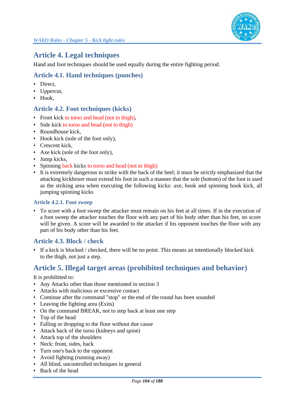## **Article 4. Legal techniques**

Hand and foot techniques should be used equally during the entire fighting period.

#### **Article 4.1. Hand techniques (punches)**

- Direct,
- Uppercut,
- Hook.

#### **Article 4.2. Foot techniques (kicks)**

- Front kick to torso and head (not to thigh),
- Side kick to torso and head (not to thigh)
- Roundhouse kick,
- Hook kick (sole of the foot only),
- Crescent kick,
- Axe kick (sole of the foot only),
- Jump kicks,
- Spinning back kicks to torso and head (not to thigh)
- It is extremely dangerous to strike with the back of the heel; it must be strictly emphasized that the attacking kickboxer must extend his foot in such a manner that the sole (bottom) of the foot is used as the striking area when executing the following kicks: axe, hook and spinning hook kick, all jumping spinning kicks

#### **Article 4.2.1. Foot sweep**

• To score with a foot sweep the attacker must remain on his feet at all times. If in the execution of a foot sweep the attacker touches the floor with any part of his body other than his feet, no score will be given. A score will be awarded to the attacker if his opponent touches the floor with any part of his body other than his feet.

#### **Article 4.3. Block / check**

• If a kick is blocked / checked, there will be no point. This means an intentionally blocked kick to the thigh, not just a step.

## **Article 5. Illegal target areas (prohibited techniques and behavior)**

It is prohibited to:

- Any Attacks other than those mentioned in section 3
- Attacks with malicious or excessive contact
- Continue after the command "stop" or the end of the round has been sounded
- Leaving the fighting area (Exits)
- On the command BREAK, not to step back at least one step
- Top of the head
- Falling or dropping to the floor without due cause
- Attack back of the torso (kidneys and spine)
- Attack top of the shoulders
- Neck: front, sides, back
- Turn one's back to the opponent
- Avoid fighting (running away)
- All blind, uncontrolled techniques in general
- Back of the head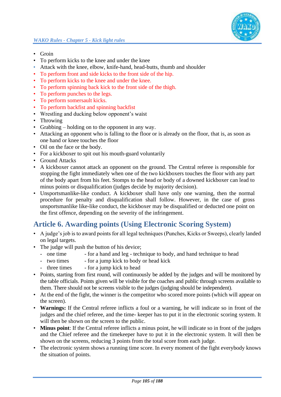- Groin
- To perform kicks to the knee and under the knee
- Attack with the knee, elbow, knife-hand, head-butts, thumb and shoulder
- To perform front and side kicks to the front side of the hip.
- To perform kicks to the knee and under the knee.
- To perform spinning back kick to the front side of the thigh.
- To perform punches to the legs.
- To perform somersault kicks.
- To perform backfist and spinning backfist
- Wrestling and ducking below opponent's waist
- Throwing
- Grabbing holding on to the opponent in any way.
- Attacking an opponent who is falling to the floor or is already on the floor, that is, as soon as one hand or knee touches the floor
- Oil on the face or the body.
- For a kickboxer to spit out his mouth-guard voluntarily
- Ground Attacks
- A kickboxer cannot attack an opponent on the ground. The Central referee is responsible for stopping the fight immediately when one of the two kickboxers touches the floor with any part of the body apart from his feet. Stomps to the head or body of a downed kickboxer can lead to minus points or disqualification (judges decide by majority decision).
- Unsportsmanlike-like conduct. A kickboxer shall have only one warning, then the normal procedure for penalty and disqualification shall follow. However, in the case of gross unsportsmanlike like-like conduct, the kickboxer may be disqualified or deducted one point on the first offence, depending on the severity of the infringement.

## **Article 6. Awarding points (Using Electronic Scoring System)**

- A judge's job is to award points for all legal techniques (Punches, Kicks or Sweeps), clearly landed on legal targets.
- The judge will push the button of his device;
	- one time for a hand and leg technique to body, and hand technique to head
	- two times for a jump kick to body or head kick
	- three times for a jump kick to head
- Points, starting from first round, will continuously be added by the judges and will be monitored by the table officials. Points given will be visible for the coaches and public through screens available to them. There should not be screens visible to the judges (judging should be independent).
- At the end of the fight, the winner is the competitor who scored more points (which will appear on the screen).
- **Warnings:** If the Central referee inflicts a foul or a warning, he will indicate so in front of the judges and the chief referee, and the time- keeper has to put it in the electronic scoring system. It will then be shown on the screen to the public.
- **Minus point**: If the Central referee inflicts a minus point, he will indicate so in front of the judges and the Chief referee and the timekeeper have to put it in the electronic system. It will then be shown on the screens, reducing 3 points from the total score from each judge.
- The electronic system shows a running time score. In every moment of the fight everybody knows the situation of points.